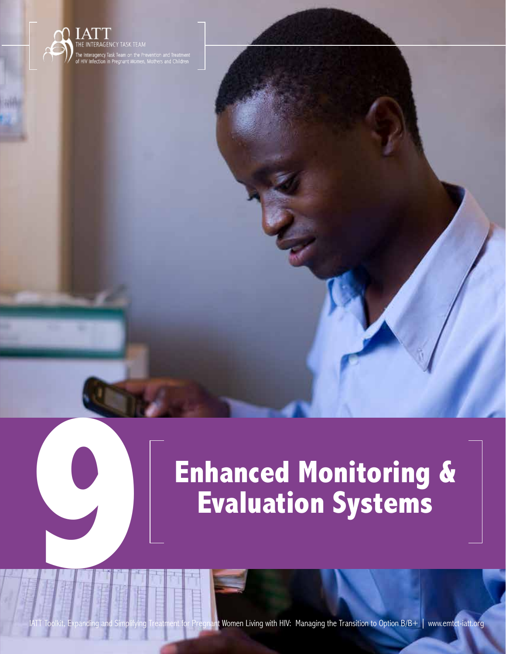

# **Enhanced Monitoring & 9 Evaluation Systems**

**123** IATT Toolkit, Expanding and Simplifying Treatment for Pregnant Women Living with HIV: Managing the Transition to Option B/B+ | www.emtct-iatt.org

Enhanced Monitoring and Evaluation Systems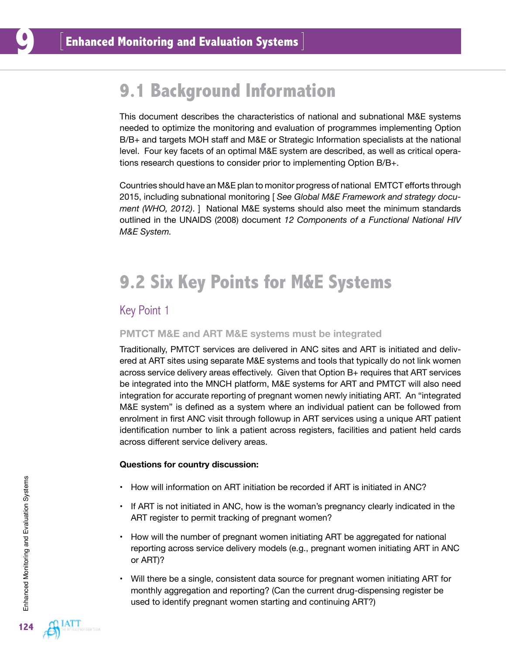# **9.1 Background Information**

This document describes the characteristics of national and subnational M&E systems needed to optimize the monitoring and evaluation of programmes implementing Option B/B+ and targets MOH staff and M&E or Strategic Information specialists at the national level. Four key facets of an optimal M&E system are described, as well as critical operations research questions to consider prior to implementing Option B/B+.

Countries should have an M&E plan to monitor progress of national EMTCT efforts through 2015, including subnational monitoring [ *See Global M&E Framework and strategy document (WHO, 2012)*. ] National M&E systems should also meet the minimum standards outlined in the UNAIDS (2008) document *12 Components of a Functional National HIV M&E System.* 

# **9.2 Six Key Points for M&E Systems**

### Key Point 1

#### **PMTCT M&E and ART M&E systems must be integrated**

Traditionally, PMTCT services are delivered in ANC sites and ART is initiated and delivered at ART sites using separate M&E systems and tools that typically do not link women across service delivery areas effectively. Given that Option B+ requires that ART services be integrated into the MNCH platform, M&E systems for ART and PMTCT will also need integration for accurate reporting of pregnant women newly initiating ART. An "integrated M&E system" is defined as a system where an individual patient can be followed from enrolment in first ANC visit through followup in ART services using a unique ART patient identification number to link a patient across registers, facilities and patient held cards across different service delivery areas.

- How will information on ART initiation be recorded if ART is initiated in ANC?
- If ART is not initiated in ANC, how is the woman's pregnancy clearly indicated in the ART register to permit tracking of pregnant women?
- How will the number of pregnant women initiating ART be aggregated for national reporting across service delivery models (e.g., pregnant women initiating ART in ANC or ART)?
- Will there be a single, consistent data source for pregnant women initiating ART for monthly aggregation and reporting? (Can the current drug-dispensing register be used to identify pregnant women starting and continuing ART?)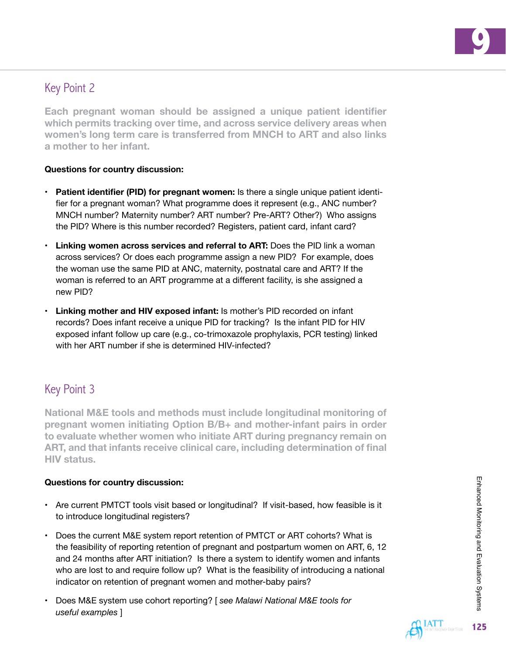

## Key Point 2

**Each pregnant woman should be assigned a unique patient identifier which permits tracking over time, and across service delivery areas when women's long term care is transferred from MNCH to ART and also links a mother to her infant.** 

#### **Questions for country discussion:**

- **• Patient identifier (PID) for pregnant women:** Is there a single unique patient identifier for a pregnant woman? What programme does it represent (e.g., ANC number? MNCH number? Maternity number? ART number? Pre-ART? Other?) Who assigns the PID? Where is this number recorded? Registers, patient card, infant card?
- **• Linking women across services and referral to ART:** Does the PID link a woman across services? Or does each programme assign a new PID? For example, does the woman use the same PID at ANC, maternity, postnatal care and ART? If the woman is referred to an ART programme at a different facility, is she assigned a new PID?
- **• Linking mother and HIV exposed infant:** Is mother's PID recorded on infant records? Does infant receive a unique PID for tracking? Is the infant PID for HIV exposed infant follow up care (e.g., co-trimoxazole prophylaxis, PCR testing) linked with her ART number if she is determined HIV-infected?

# Key Point 3

**National M&E tools and methods must include longitudinal monitoring of pregnant women initiating Option B/B+ and mother-infant pairs in order to evaluate whether women who initiate ART during pregnancy remain on ART, and that infants receive clinical care, including determination of final HIV status.** 

- Are current PMTCT tools visit based or longitudinal? If visit-based, how feasible is it to introduce longitudinal registers?
- Does the current M&E system report retention of PMTCT or ART cohorts? What is the feasibility of reporting retention of pregnant and postpartum women on ART, 6, 12 and 24 months after ART initiation? Is there a system to identify women and infants who are lost to and require follow up? What is the feasibility of introducing a national indicator on retention of pregnant women and mother-baby pairs?
- Does M&E system use cohort reporting? [ *see Malawi National M&E tools for useful examples* ]

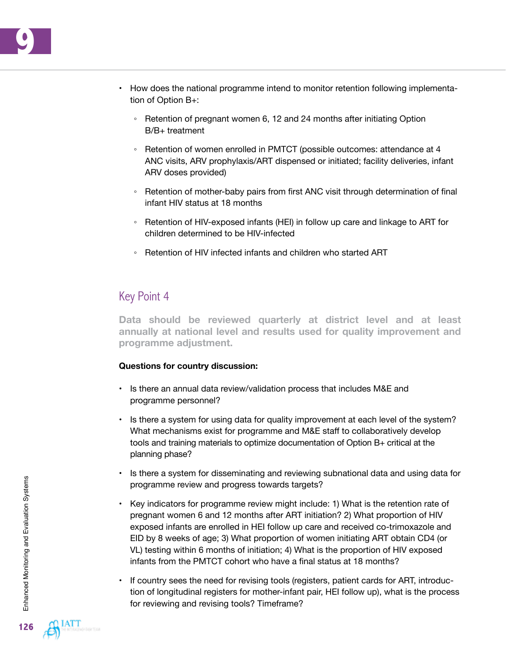- How does the national programme intend to monitor retention following implementation of Option B+:
	- Retention of pregnant women 6, 12 and 24 months after initiating Option B/B+ treatment
	- Retention of women enrolled in PMTCT (possible outcomes: attendance at 4 ANC visits, ARV prophylaxis/ART dispensed or initiated; facility deliveries, infant ARV doses provided)
	- Retention of mother-baby pairs from first ANC visit through determination of final infant HIV status at 18 months
	- Retention of HIV-exposed infants (HEI) in follow up care and linkage to ART for children determined to be HIV-infected
	- Retention of HIV infected infants and children who started ART

## Key Point 4

**Data should be reviewed quarterly at district level and at least annually at national level and results used for quality improvement and programme adjustment.** 

- Is there an annual data review/validation process that includes M&E and programme personnel?
- Is there a system for using data for quality improvement at each level of the system? What mechanisms exist for programme and M&E staff to collaboratively develop tools and training materials to optimize documentation of Option B+ critical at the planning phase?
- Is there a system for disseminating and reviewing subnational data and using data for programme review and progress towards targets?
- Key indicators for programme review might include: 1) What is the retention rate of pregnant women 6 and 12 months after ART initiation? 2) What proportion of HIV exposed infants are enrolled in HEI follow up care and received co-trimoxazole and EID by 8 weeks of age; 3) What proportion of women initiating ART obtain CD4 (or VL) testing within 6 months of initiation; 4) What is the proportion of HIV exposed infants from the PMTCT cohort who have a final status at 18 months?
- If country sees the need for revising tools (registers, patient cards for ART, introduction of longitudinal registers for mother-infant pair, HEI follow up), what is the process for reviewing and revising tools? Timeframe?

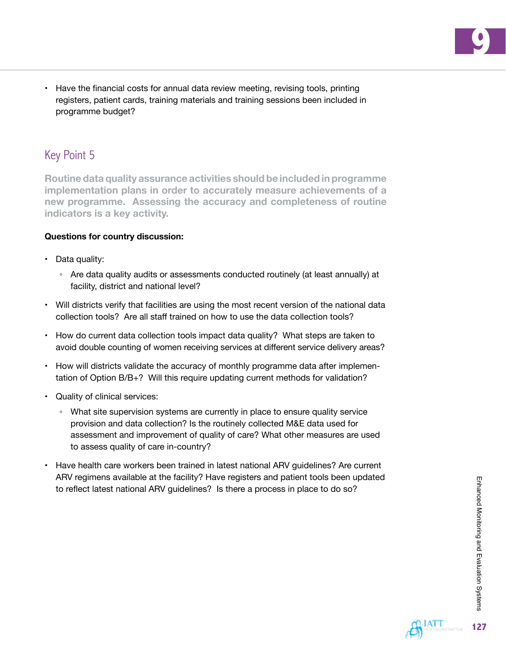**9**

• Have the financial costs for annual data review meeting, revising tools, printing registers, patient cards, training materials and training sessions been included in programme budget?

# Key Point 5

**Routine data quality assurance activities should be included in programme implementation plans in order to accurately measure achievements of a new programme. Assessing the accuracy and completeness of routine indicators is a key activity.** 

- Data quality:
	- Are data quality audits or assessments conducted routinely (at least annually) at facility, district and national level?
- Will districts verify that facilities are using the most recent version of the national data collection tools? Are all staff trained on how to use the data collection tools?
- How do current data collection tools impact data quality? What steps are taken to avoid double counting of women receiving services at different service delivery areas?
- How will districts validate the accuracy of monthly programme data after implementation of Option B/B+? Will this require updating current methods for validation?
- Quality of clinical services:
	- What site supervision systems are currently in place to ensure quality service provision and data collection? Is the routinely collected M&E data used for assessment and improvement of quality of care? What other measures are used to assess quality of care in-country?
- Have health care workers been trained in latest national ARV guidelines? Are current ARV regimens available at the facility? Have registers and patient tools been updated to reflect latest national ARV guidelines? Is there a process in place to do so?

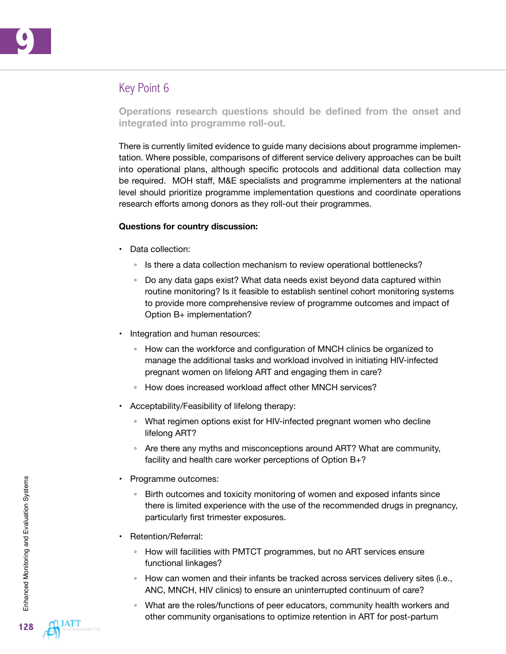

# Key Point 6

**Operations research questions should be defined from the onset and integrated into programme roll-out.** 

There is currently limited evidence to guide many decisions about programme implementation. Where possible, comparisons of different service delivery approaches can be built into operational plans, although specific protocols and additional data collection may be required. MOH staff, M&E specialists and programme implementers at the national level should prioritize programme implementation questions and coordinate operations research efforts among donors as they roll-out their programmes.

- Data collection:
	- Is there a data collection mechanism to review operational bottlenecks?
	- Do any data gaps exist? What data needs exist beyond data captured within routine monitoring? Is it feasible to establish sentinel cohort monitoring systems to provide more comprehensive review of programme outcomes and impact of Option B+ implementation?
- Integration and human resources:
	- How can the workforce and configuration of MNCH clinics be organized to manage the additional tasks and workload involved in initiating HIV-infected pregnant women on lifelong ART and engaging them in care?
	- How does increased workload affect other MNCH services?
- Acceptability/Feasibility of lifelong therapy:
	- What regimen options exist for HIV-infected pregnant women who decline lifelong ART?
	- Are there any myths and misconceptions around ART? What are community, facility and health care worker perceptions of Option B+?
- Programme outcomes:
	- Birth outcomes and toxicity monitoring of women and exposed infants since there is limited experience with the use of the recommended drugs in pregnancy, particularly first trimester exposures.
- Retention/Referral:
	- How will facilities with PMTCT programmes, but no ART services ensure functional linkages?
	- How can women and their infants be tracked across services delivery sites (i.e., ANC, MNCH, HIV clinics) to ensure an uninterrupted continuum of care?
	- What are the roles/functions of peer educators, community health workers and other community organisations to optimize retention in ART for post-partum